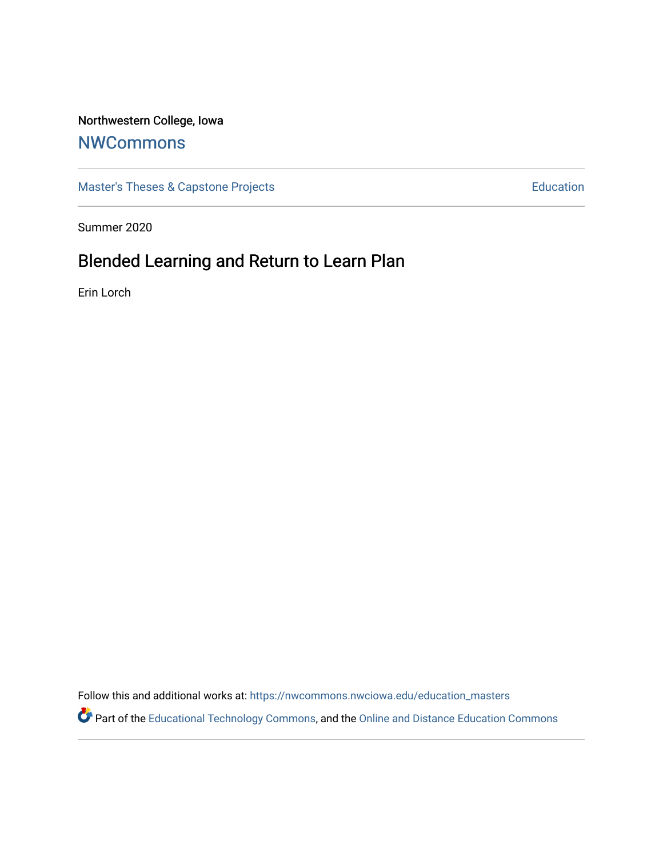## Northwestern College, Iowa

# **[NWCommons](https://nwcommons.nwciowa.edu/)**

[Master's Theses & Capstone Projects](https://nwcommons.nwciowa.edu/education_masters) **Education** Education

Summer 2020

# Blended Learning and Return to Learn Plan

Erin Lorch

Follow this and additional works at: [https://nwcommons.nwciowa.edu/education\\_masters](https://nwcommons.nwciowa.edu/education_masters?utm_source=nwcommons.nwciowa.edu%2Feducation_masters%2F242&utm_medium=PDF&utm_campaign=PDFCoverPages)

Part of the [Educational Technology Commons,](http://network.bepress.com/hgg/discipline/1415?utm_source=nwcommons.nwciowa.edu%2Feducation_masters%2F242&utm_medium=PDF&utm_campaign=PDFCoverPages) and the [Online and Distance Education Commons](http://network.bepress.com/hgg/discipline/1296?utm_source=nwcommons.nwciowa.edu%2Feducation_masters%2F242&utm_medium=PDF&utm_campaign=PDFCoverPages)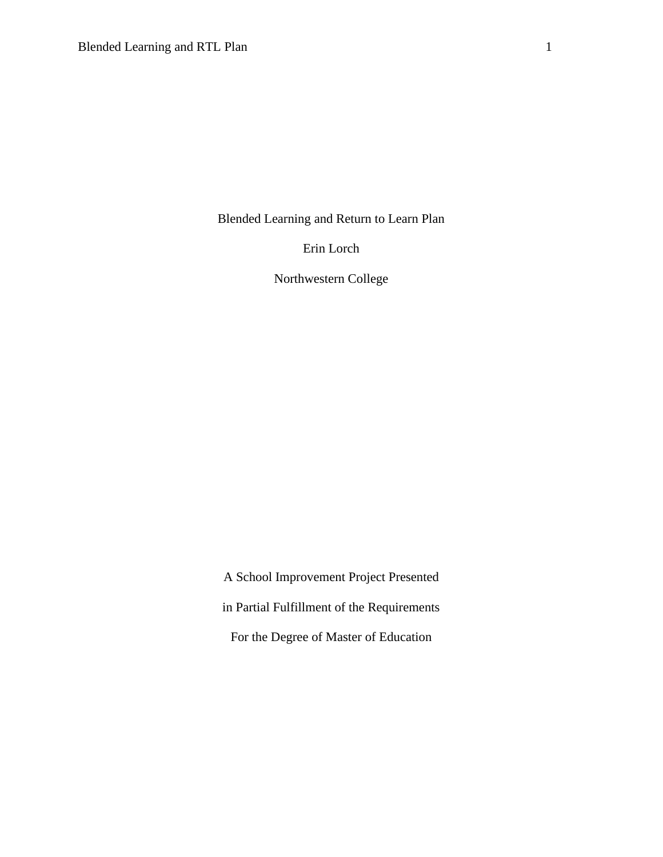Blended Learning and Return to Learn Plan

Erin Lorch

Northwestern College

A School Improvement Project Presented in Partial Fulfillment of the Requirements For the Degree of Master of Education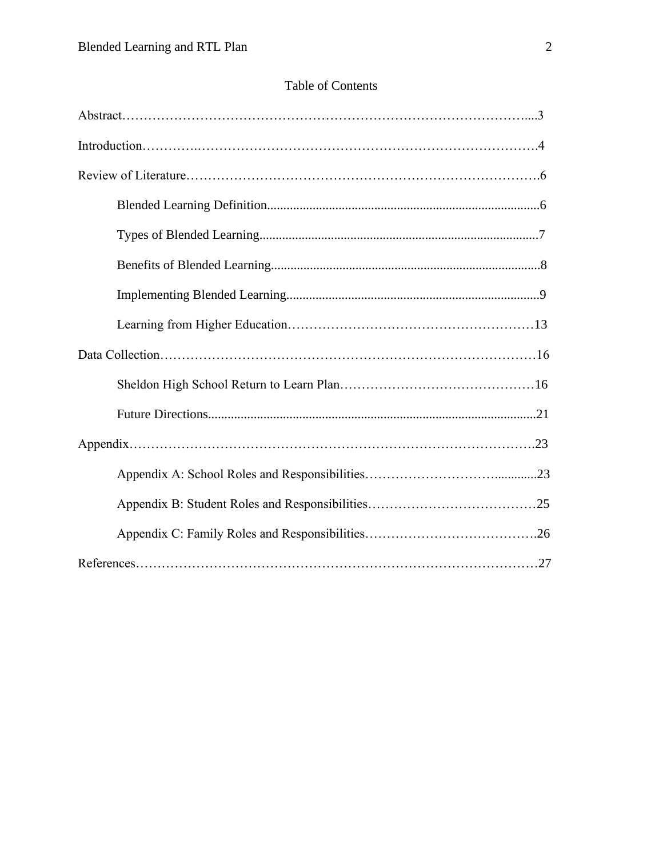## Table of Contents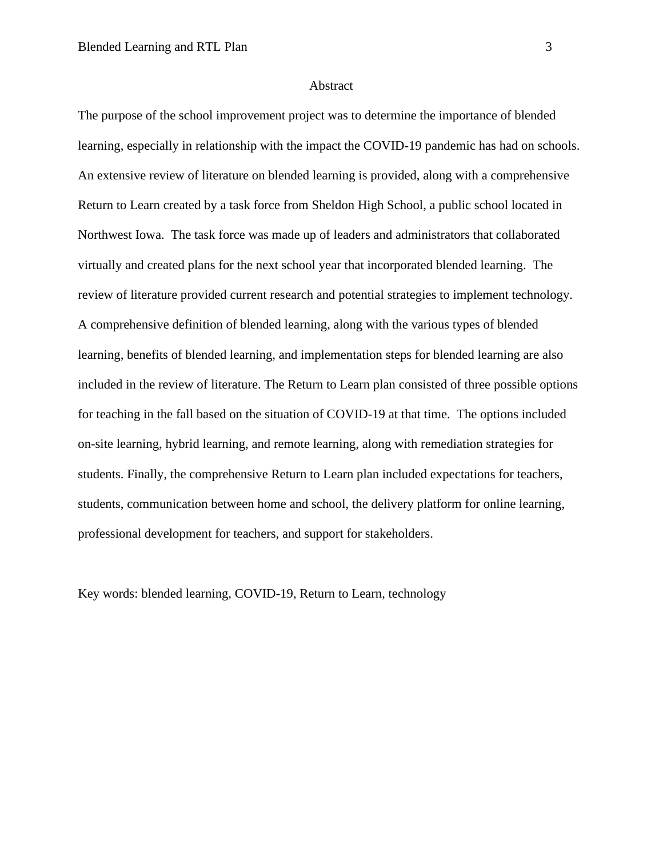#### Abstract

The purpose of the school improvement project was to determine the importance of blended learning, especially in relationship with the impact the COVID-19 pandemic has had on schools. An extensive review of literature on blended learning is provided, along with a comprehensive Return to Learn created by a task force from Sheldon High School, a public school located in Northwest Iowa. The task force was made up of leaders and administrators that collaborated virtually and created plans for the next school year that incorporated blended learning. The review of literature provided current research and potential strategies to implement technology. A comprehensive definition of blended learning, along with the various types of blended learning, benefits of blended learning, and implementation steps for blended learning are also included in the review of literature. The Return to Learn plan consisted of three possible options for teaching in the fall based on the situation of COVID-19 at that time. The options included on-site learning, hybrid learning, and remote learning, along with remediation strategies for students. Finally, the comprehensive Return to Learn plan included expectations for teachers, students, communication between home and school, the delivery platform for online learning, professional development for teachers, and support for stakeholders.

Key words: blended learning, COVID-19, Return to Learn, technology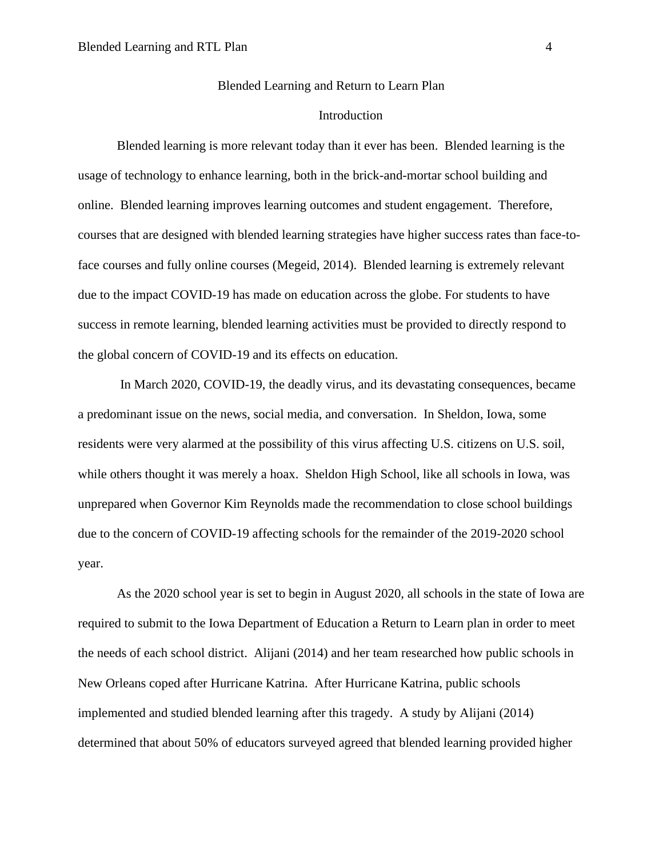#### Blended Learning and Return to Learn Plan

### Introduction

Blended learning is more relevant today than it ever has been. Blended learning is the usage of technology to enhance learning, both in the brick-and-mortar school building and online. Blended learning improves learning outcomes and student engagement. Therefore, courses that are designed with blended learning strategies have higher success rates than face-toface courses and fully online courses (Megeid, 2014). Blended learning is extremely relevant due to the impact COVID-19 has made on education across the globe. For students to have success in remote learning, blended learning activities must be provided to directly respond to the global concern of COVID-19 and its effects on education.

In March 2020, COVID-19, the deadly virus, and its devastating consequences, became a predominant issue on the news, social media, and conversation. In Sheldon, Iowa, some residents were very alarmed at the possibility of this virus affecting U.S. citizens on U.S. soil, while others thought it was merely a hoax. Sheldon High School, like all schools in Iowa, was unprepared when Governor Kim Reynolds made the recommendation to close school buildings due to the concern of COVID-19 affecting schools for the remainder of the 2019-2020 school year.

As the 2020 school year is set to begin in August 2020, all schools in the state of Iowa are required to submit to the Iowa Department of Education a Return to Learn plan in order to meet the needs of each school district. Alijani (2014) and her team researched how public schools in New Orleans coped after Hurricane Katrina. After Hurricane Katrina, public schools implemented and studied blended learning after this tragedy. A study by Alijani (2014) determined that about 50% of educators surveyed agreed that blended learning provided higher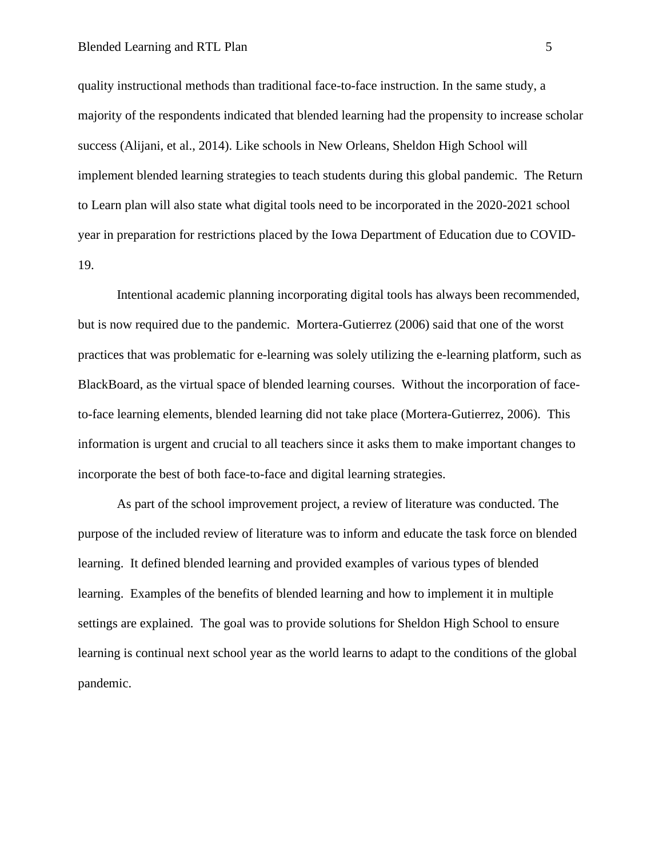quality instructional methods than traditional face-to-face instruction. In the same study, a majority of the respondents indicated that blended learning had the propensity to increase scholar success (Alijani, et al., 2014). Like schools in New Orleans, Sheldon High School will implement blended learning strategies to teach students during this global pandemic. The Return to Learn plan will also state what digital tools need to be incorporated in the 2020-2021 school year in preparation for restrictions placed by the Iowa Department of Education due to COVID-19.

Intentional academic planning incorporating digital tools has always been recommended, but is now required due to the pandemic. Mortera-Gutierrez (2006) said that one of the worst practices that was problematic for e-learning was solely utilizing the e-learning platform, such as BlackBoard, as the virtual space of blended learning courses. Without the incorporation of faceto-face learning elements, blended learning did not take place (Mortera-Gutierrez, 2006). This information is urgent and crucial to all teachers since it asks them to make important changes to incorporate the best of both face-to-face and digital learning strategies.

As part of the school improvement project, a review of literature was conducted. The purpose of the included review of literature was to inform and educate the task force on blended learning. It defined blended learning and provided examples of various types of blended learning. Examples of the benefits of blended learning and how to implement it in multiple settings are explained. The goal was to provide solutions for Sheldon High School to ensure learning is continual next school year as the world learns to adapt to the conditions of the global pandemic.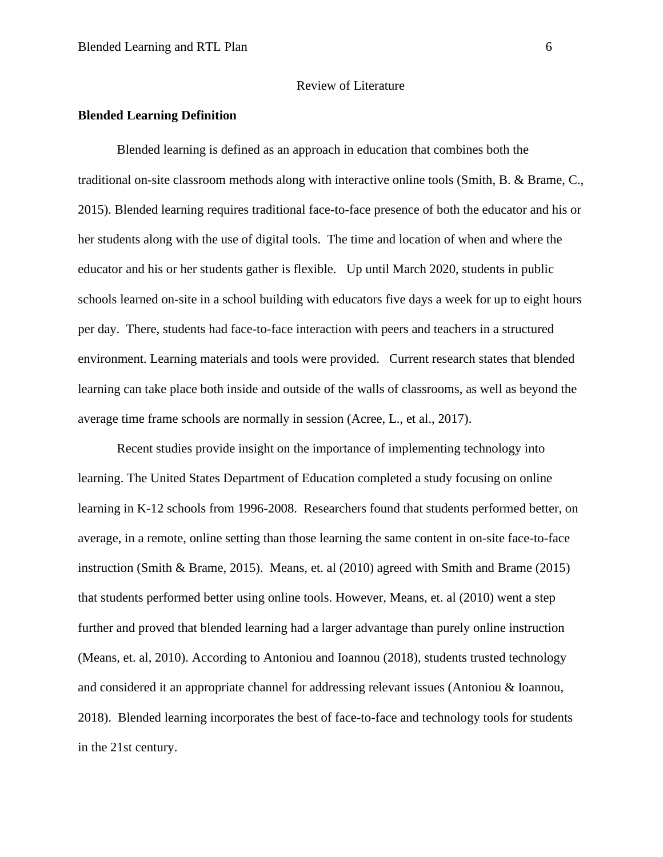#### Review of Literature

### **Blended Learning Definition**

Blended learning is defined as an approach in education that combines both the traditional on-site classroom methods along with interactive online tools (Smith, B. & Brame, C., 2015). Blended learning requires traditional face-to-face presence of both the educator and his or her students along with the use of digital tools. The time and location of when and where the educator and his or her students gather is flexible. Up until March 2020, students in public schools learned on-site in a school building with educators five days a week for up to eight hours per day. There, students had face-to-face interaction with peers and teachers in a structured environment. Learning materials and tools were provided. Current research states that blended learning can take place both inside and outside of the walls of classrooms, as well as beyond the average time frame schools are normally in session (Acree, L., et al., 2017).

Recent studies provide insight on the importance of implementing technology into learning. The United States Department of Education completed a study focusing on online learning in K-12 schools from 1996-2008. Researchers found that students performed better, on average, in a remote, online setting than those learning the same content in on-site face-to-face instruction (Smith & Brame, 2015). Means, et. al (2010) agreed with Smith and Brame (2015) that students performed better using online tools. However, Means, et. al (2010) went a step further and proved that blended learning had a larger advantage than purely online instruction (Means, et. al, 2010). According to Antoniou and Ioannou (2018), students trusted technology and considered it an appropriate channel for addressing relevant issues (Antoniou & Ioannou, 2018). Blended learning incorporates the best of face-to-face and technology tools for students in the 21st century.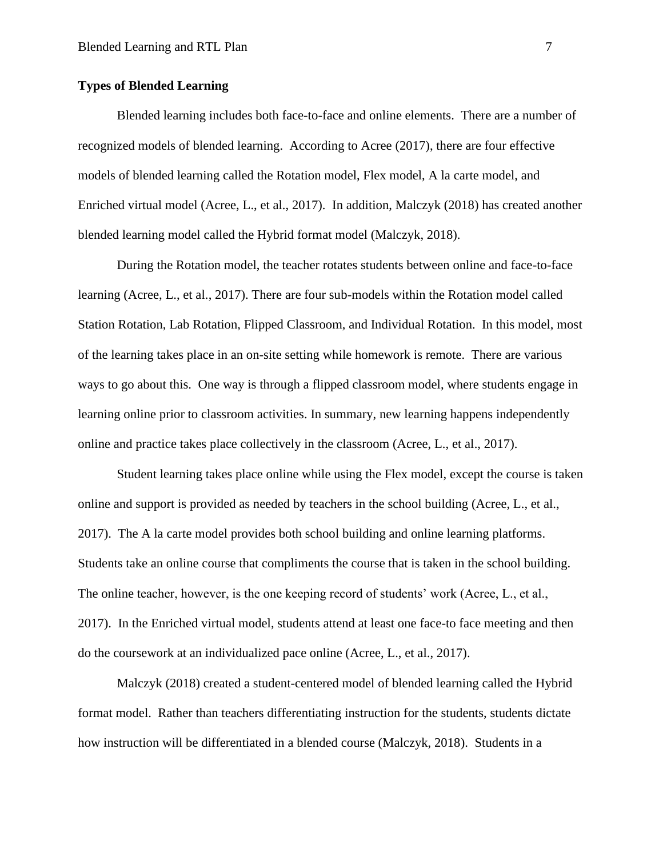### **Types of Blended Learning**

Blended learning includes both face-to-face and online elements. There are a number of recognized models of blended learning. According to Acree (2017), there are four effective models of blended learning called the Rotation model, Flex model, A la carte model, and Enriched virtual model (Acree, L., et al., 2017). In addition, Malczyk (2018) has created another blended learning model called the Hybrid format model (Malczyk, 2018).

During the Rotation model, the teacher rotates students between online and face-to-face learning (Acree, L., et al., 2017). There are four sub-models within the Rotation model called Station Rotation, Lab Rotation, Flipped Classroom, and Individual Rotation. In this model, most of the learning takes place in an on-site setting while homework is remote. There are various ways to go about this. One way is through a flipped classroom model, where students engage in learning online prior to classroom activities. In summary, new learning happens independently online and practice takes place collectively in the classroom (Acree, L., et al., 2017).

Student learning takes place online while using the Flex model, except the course is taken online and support is provided as needed by teachers in the school building (Acree, L., et al., 2017). The A la carte model provides both school building and online learning platforms. Students take an online course that compliments the course that is taken in the school building. The online teacher, however, is the one keeping record of students' work (Acree, L., et al., 2017). In the Enriched virtual model, students attend at least one face-to face meeting and then do the coursework at an individualized pace online (Acree, L., et al., 2017).

Malczyk (2018) created a student-centered model of blended learning called the Hybrid format model. Rather than teachers differentiating instruction for the students, students dictate how instruction will be differentiated in a blended course (Malczyk, 2018). Students in a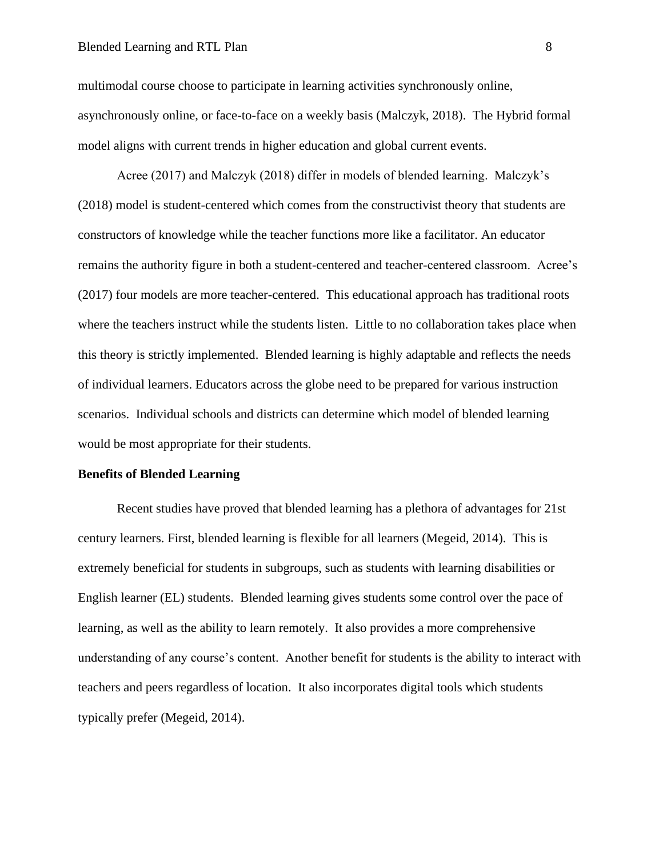#### Blended Learning and RTL Plan 8

multimodal course choose to participate in learning activities synchronously online, asynchronously online, or face-to-face on a weekly basis (Malczyk, 2018). The Hybrid formal model aligns with current trends in higher education and global current events.

Acree (2017) and Malczyk (2018) differ in models of blended learning. Malczyk's (2018) model is student-centered which comes from the constructivist theory that students are constructors of knowledge while the teacher functions more like a facilitator. An educator remains the authority figure in both a student-centered and teacher-centered classroom. Acree's (2017) four models are more teacher-centered. This educational approach has traditional roots where the teachers instruct while the students listen. Little to no collaboration takes place when this theory is strictly implemented. Blended learning is highly adaptable and reflects the needs of individual learners. Educators across the globe need to be prepared for various instruction scenarios. Individual schools and districts can determine which model of blended learning would be most appropriate for their students.

#### **Benefits of Blended Learning**

Recent studies have proved that blended learning has a plethora of advantages for 21st century learners. First, blended learning is flexible for all learners (Megeid, 2014). This is extremely beneficial for students in subgroups, such as students with learning disabilities or English learner (EL) students. Blended learning gives students some control over the pace of learning, as well as the ability to learn remotely. It also provides a more comprehensive understanding of any course's content. Another benefit for students is the ability to interact with teachers and peers regardless of location. It also incorporates digital tools which students typically prefer (Megeid, 2014).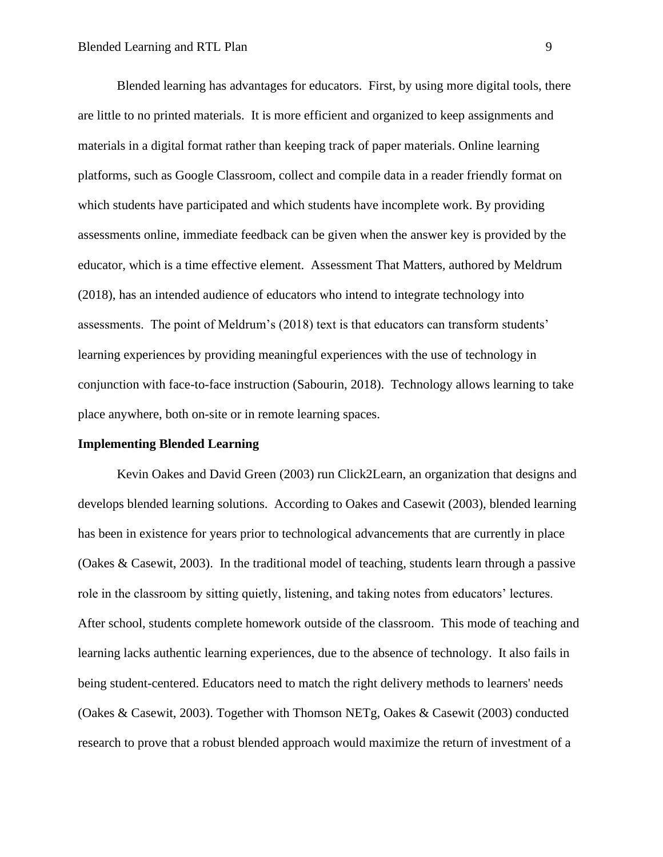Blended learning has advantages for educators. First, by using more digital tools, there are little to no printed materials. It is more efficient and organized to keep assignments and materials in a digital format rather than keeping track of paper materials. Online learning platforms, such as Google Classroom, collect and compile data in a reader friendly format on which students have participated and which students have incomplete work. By providing assessments online, immediate feedback can be given when the answer key is provided by the educator, which is a time effective element. Assessment That Matters*,* authored by Meldrum (2018), has an intended audience of educators who intend to integrate technology into assessments. The point of Meldrum's (2018) text is that educators can transform students' learning experiences by providing meaningful experiences with the use of technology in conjunction with face-to-face instruction (Sabourin, 2018). Technology allows learning to take place anywhere, both on-site or in remote learning spaces.

#### **Implementing Blended Learning**

Kevin Oakes and David Green (2003) run Click2Learn, an organization that designs and develops blended learning solutions. According to Oakes and Casewit (2003), blended learning has been in existence for years prior to technological advancements that are currently in place (Oakes & Casewit, 2003). In the traditional model of teaching, students learn through a passive role in the classroom by sitting quietly, listening, and taking notes from educators' lectures. After school, students complete homework outside of the classroom. This mode of teaching and learning lacks authentic learning experiences, due to the absence of technology. It also fails in being student-centered. Educators need to match the right delivery methods to learners' needs (Oakes & Casewit, 2003). Together with Thomson NETg, Oakes & Casewit (2003) conducted research to prove that a robust blended approach would maximize the return of investment of a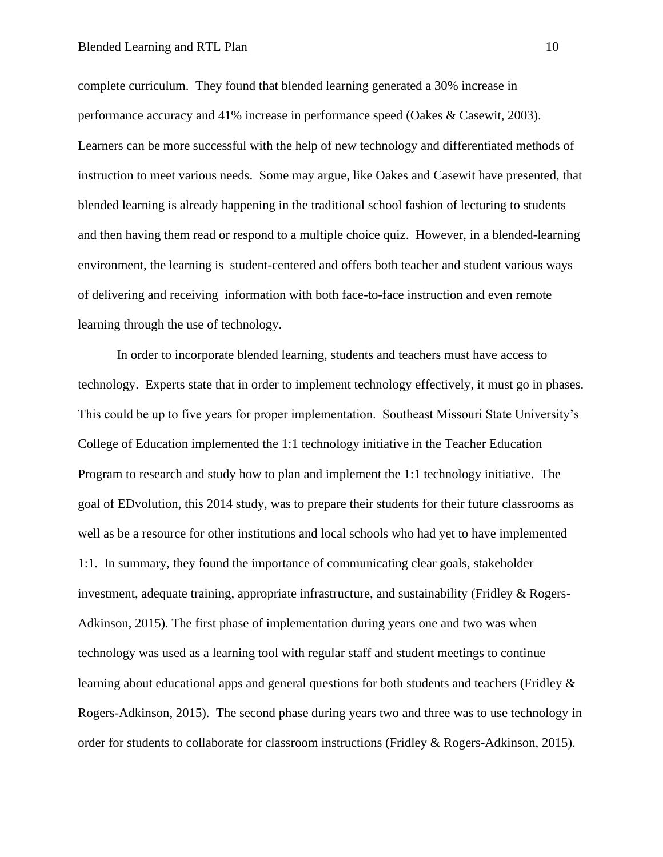#### Blended Learning and RTL Plan 10

complete curriculum. They found that blended learning generated a 30% increase in performance accuracy and 41% increase in performance speed (Oakes & Casewit, 2003). Learners can be more successful with the help of new technology and differentiated methods of instruction to meet various needs. Some may argue, like Oakes and Casewit have presented, that blended learning is already happening in the traditional school fashion of lecturing to students and then having them read or respond to a multiple choice quiz. However, in a blended-learning environment, the learning is student-centered and offers both teacher and student various ways of delivering and receiving information with both face-to-face instruction and even remote learning through the use of technology.

In order to incorporate blended learning, students and teachers must have access to technology. Experts state that in order to implement technology effectively, it must go in phases. This could be up to five years for proper implementation. Southeast Missouri State University's College of Education implemented the 1:1 technology initiative in the Teacher Education Program to research and study how to plan and implement the 1:1 technology initiative. The goal of EDvolution, this 2014 study, was to prepare their students for their future classrooms as well as be a resource for other institutions and local schools who had yet to have implemented 1:1. In summary, they found the importance of communicating clear goals, stakeholder investment, adequate training, appropriate infrastructure, and sustainability (Fridley & Rogers-Adkinson, 2015). The first phase of implementation during years one and two was when technology was used as a learning tool with regular staff and student meetings to continue learning about educational apps and general questions for both students and teachers (Fridley & Rogers-Adkinson, 2015). The second phase during years two and three was to use technology in order for students to collaborate for classroom instructions (Fridley & Rogers-Adkinson, 2015).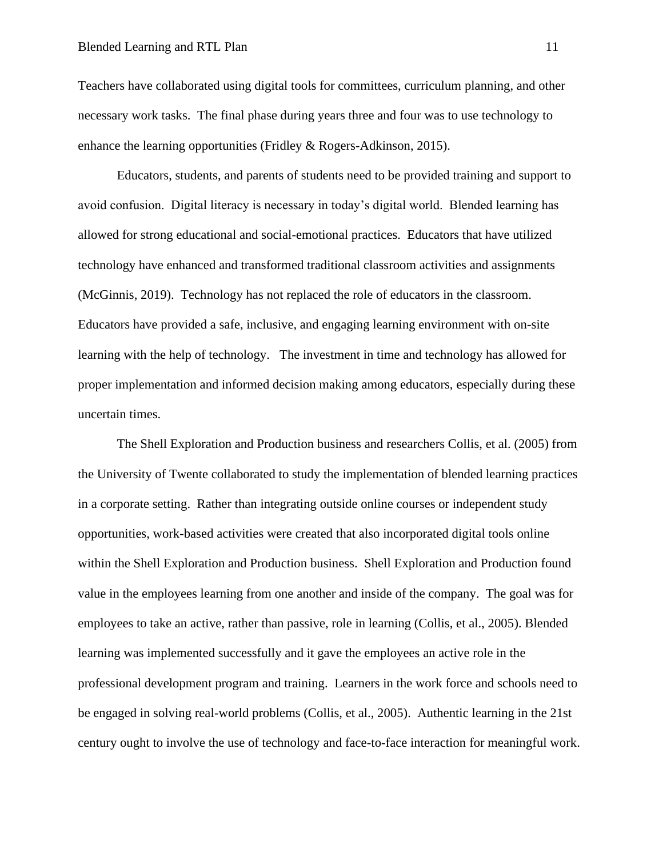Teachers have collaborated using digital tools for committees, curriculum planning, and other necessary work tasks. The final phase during years three and four was to use technology to enhance the learning opportunities (Fridley & Rogers-Adkinson, 2015).

Educators, students, and parents of students need to be provided training and support to avoid confusion. Digital literacy is necessary in today's digital world. Blended learning has allowed for strong educational and social-emotional practices. Educators that have utilized technology have enhanced and transformed traditional classroom activities and assignments (McGinnis, 2019). Technology has not replaced the role of educators in the classroom. Educators have provided a safe, inclusive, and engaging learning environment with on-site learning with the help of technology. The investment in time and technology has allowed for proper implementation and informed decision making among educators, especially during these uncertain times.

The Shell Exploration and Production business and researchers Collis, et al. (2005) from the University of Twente collaborated to study the implementation of blended learning practices in a corporate setting. Rather than integrating outside online courses or independent study opportunities, work-based activities were created that also incorporated digital tools online within the Shell Exploration and Production business. Shell Exploration and Production found value in the employees learning from one another and inside of the company. The goal was for employees to take an active, rather than passive, role in learning (Collis, et al., 2005). Blended learning was implemented successfully and it gave the employees an active role in the professional development program and training. Learners in the work force and schools need to be engaged in solving real-world problems (Collis, et al., 2005). Authentic learning in the 21st century ought to involve the use of technology and face-to-face interaction for meaningful work.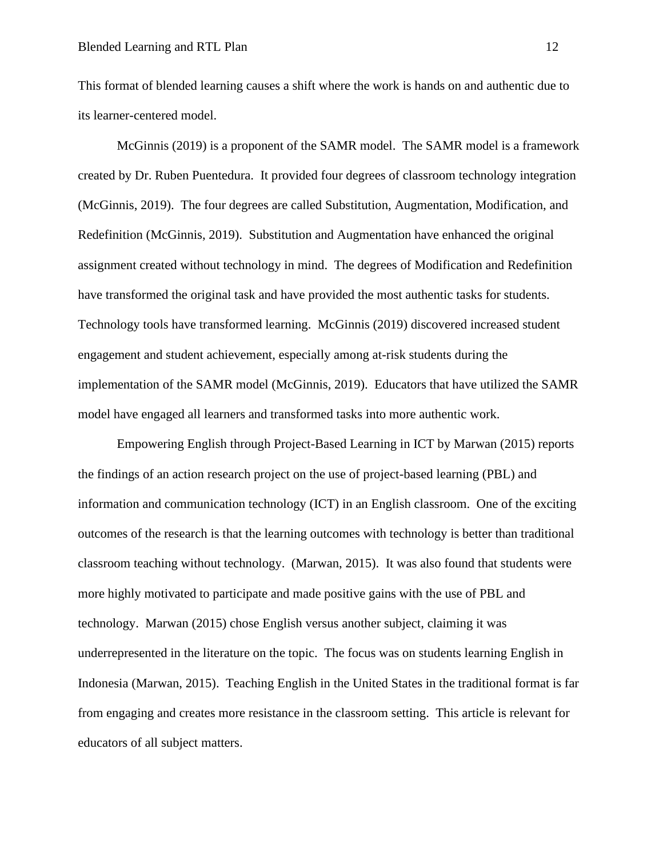This format of blended learning causes a shift where the work is hands on and authentic due to its learner-centered model.

McGinnis (2019) is a proponent of the SAMR model. The SAMR model is a framework created by Dr. Ruben Puentedura. It provided four degrees of classroom technology integration (McGinnis, 2019). The four degrees are called Substitution, Augmentation, Modification, and Redefinition (McGinnis, 2019). Substitution and Augmentation have enhanced the original assignment created without technology in mind. The degrees of Modification and Redefinition have transformed the original task and have provided the most authentic tasks for students. Technology tools have transformed learning. McGinnis (2019) discovered increased student engagement and student achievement, especially among at-risk students during the implementation of the SAMR model (McGinnis, 2019). Educators that have utilized the SAMR model have engaged all learners and transformed tasks into more authentic work.

Empowering English through Project-Based Learning in ICT by Marwan (2015) reports the findings of an action research project on the use of project-based learning (PBL) and information and communication technology (ICT) in an English classroom. One of the exciting outcomes of the research is that the learning outcomes with technology is better than traditional classroom teaching without technology. (Marwan, 2015). It was also found that students were more highly motivated to participate and made positive gains with the use of PBL and technology. Marwan (2015) chose English versus another subject, claiming it was underrepresented in the literature on the topic. The focus was on students learning English in Indonesia (Marwan, 2015). Teaching English in the United States in the traditional format is far from engaging and creates more resistance in the classroom setting. This article is relevant for educators of all subject matters.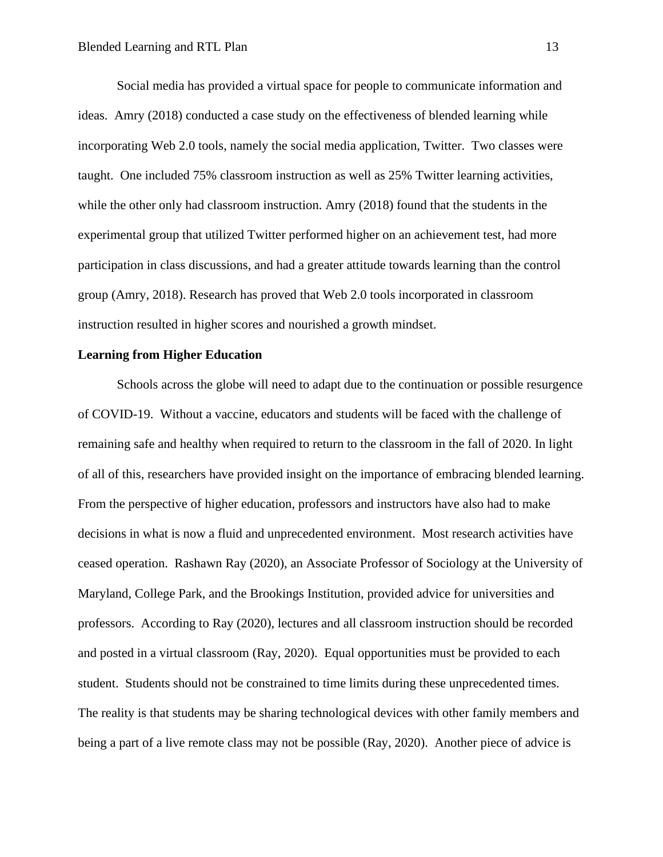Social media has provided a virtual space for people to communicate information and ideas. Amry (2018) conducted a case study on the effectiveness of blended learning while incorporating Web 2.0 tools, namely the social media application, Twitter. Two classes were taught. One included 75% classroom instruction as well as 25% Twitter learning activities, while the other only had classroom instruction. Amry (2018) found that the students in the experimental group that utilized Twitter performed higher on an achievement test, had more participation in class discussions, and had a greater attitude towards learning than the control group (Amry, 2018). Research has proved that Web 2.0 tools incorporated in classroom instruction resulted in higher scores and nourished a growth mindset.

#### **Learning from Higher Education**

Schools across the globe will need to adapt due to the continuation or possible resurgence of COVID-19. Without a vaccine, educators and students will be faced with the challenge of remaining safe and healthy when required to return to the classroom in the fall of 2020. In light of all of this, researchers have provided insight on the importance of embracing blended learning. From the perspective of higher education, professors and instructors have also had to make decisions in what is now a fluid and unprecedented environment. Most research activities have ceased operation. Rashawn Ray (2020), an Associate Professor of Sociology at the University of Maryland, College Park, and the Brookings Institution, provided advice for universities and professors. According to Ray (2020), lectures and all classroom instruction should be recorded and posted in a virtual classroom (Ray, 2020). Equal opportunities must be provided to each student. Students should not be constrained to time limits during these unprecedented times. The reality is that students may be sharing technological devices with other family members and being a part of a live remote class may not be possible (Ray, 2020). Another piece of advice is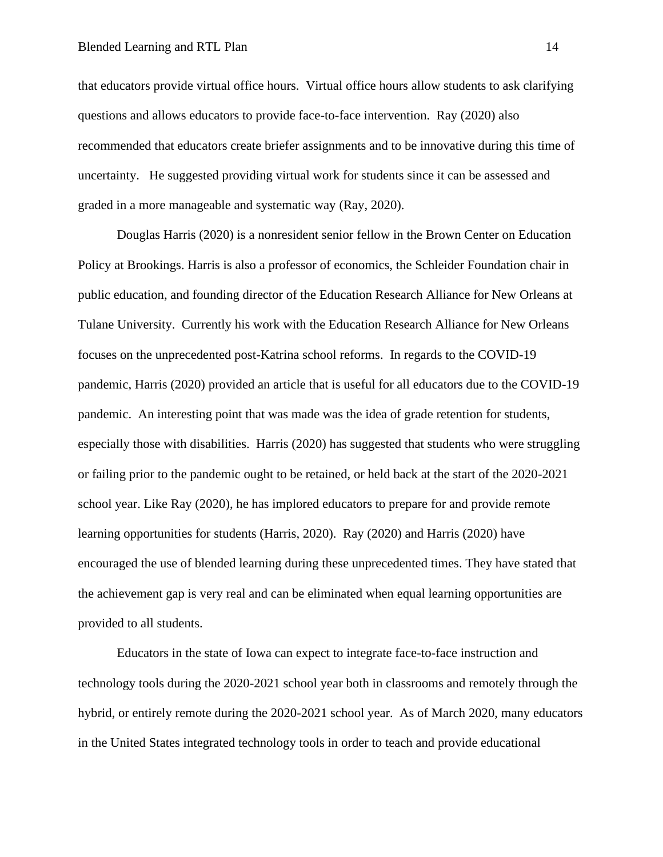that educators provide virtual office hours. Virtual office hours allow students to ask clarifying questions and allows educators to provide face-to-face intervention. Ray (2020) also recommended that educators create briefer assignments and to be innovative during this time of uncertainty. He suggested providing virtual work for students since it can be assessed and graded in a more manageable and systematic way (Ray, 2020).

Douglas Harris (2020) is a nonresident senior fellow in the Brown Center on Education Policy at Brookings. Harris is also a professor of economics, the Schleider Foundation chair in public education, and founding director of the Education Research Alliance for New Orleans at Tulane University. Currently his work with the Education Research Alliance for New Orleans focuses on the unprecedented post-Katrina school reforms. In regards to the COVID-19 pandemic, Harris (2020) provided an article that is useful for all educators due to the COVID-19 pandemic. An interesting point that was made was the idea of grade retention for students, especially those with disabilities. Harris (2020) has suggested that students who were struggling or failing prior to the pandemic ought to be retained, or held back at the start of the 2020-2021 school year. Like Ray (2020), he has implored educators to prepare for and provide remote learning opportunities for students (Harris, 2020). Ray (2020) and Harris (2020) have encouraged the use of blended learning during these unprecedented times. They have stated that the achievement gap is very real and can be eliminated when equal learning opportunities are provided to all students.

Educators in the state of Iowa can expect to integrate face-to-face instruction and technology tools during the 2020-2021 school year both in classrooms and remotely through the hybrid, or entirely remote during the 2020-2021 school year. As of March 2020, many educators in the United States integrated technology tools in order to teach and provide educational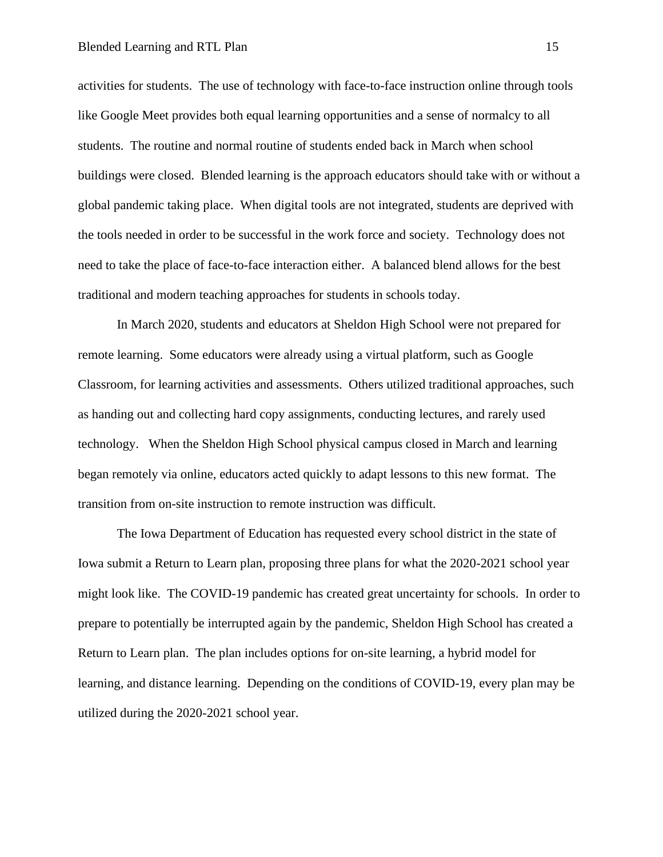#### Blended Learning and RTL Plan 15

activities for students. The use of technology with face-to-face instruction online through tools like Google Meet provides both equal learning opportunities and a sense of normalcy to all students. The routine and normal routine of students ended back in March when school buildings were closed. Blended learning is the approach educators should take with or without a global pandemic taking place. When digital tools are not integrated, students are deprived with the tools needed in order to be successful in the work force and society. Technology does not need to take the place of face-to-face interaction either. A balanced blend allows for the best traditional and modern teaching approaches for students in schools today.

In March 2020, students and educators at Sheldon High School were not prepared for remote learning. Some educators were already using a virtual platform, such as Google Classroom, for learning activities and assessments. Others utilized traditional approaches, such as handing out and collecting hard copy assignments, conducting lectures, and rarely used technology. When the Sheldon High School physical campus closed in March and learning began remotely via online, educators acted quickly to adapt lessons to this new format. The transition from on-site instruction to remote instruction was difficult.

The Iowa Department of Education has requested every school district in the state of Iowa submit a Return to Learn plan, proposing three plans for what the 2020-2021 school year might look like. The COVID-19 pandemic has created great uncertainty for schools. In order to prepare to potentially be interrupted again by the pandemic, Sheldon High School has created a Return to Learn plan. The plan includes options for on-site learning, a hybrid model for learning, and distance learning. Depending on the conditions of COVID-19, every plan may be utilized during the 2020-2021 school year.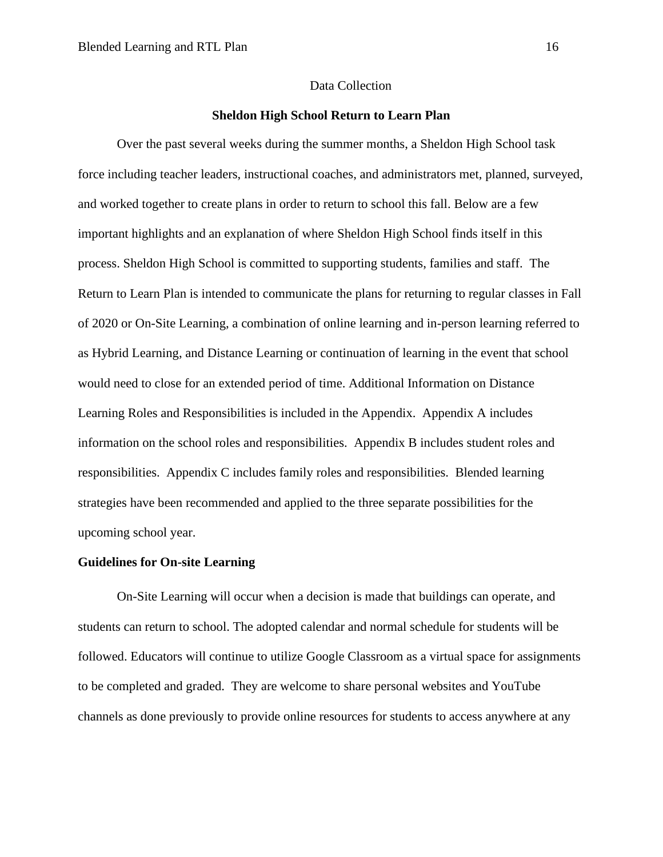#### Data Collection

#### **Sheldon High School Return to Learn Plan**

Over the past several weeks during the summer months, a Sheldon High School task force including teacher leaders, instructional coaches, and administrators met, planned, surveyed, and worked together to create plans in order to return to school this fall. Below are a few important highlights and an explanation of where Sheldon High School finds itself in this process. Sheldon High School is committed to supporting students, families and staff. The Return to Learn Plan is intended to communicate the plans for returning to regular classes in Fall of 2020 or On-Site Learning, a combination of online learning and in-person learning referred to as Hybrid Learning, and Distance Learning or continuation of learning in the event that school would need to close for an extended period of time. Additional Information on Distance Learning Roles and Responsibilities is included in the Appendix. Appendix A includes information on the school roles and responsibilities. Appendix B includes student roles and responsibilities. Appendix C includes family roles and responsibilities. Blended learning strategies have been recommended and applied to the three separate possibilities for the upcoming school year.

### **Guidelines for On-site Learning**

On-Site Learning will occur when a decision is made that buildings can operate, and students can return to school. The adopted calendar and normal schedule for students will be followed. Educators will continue to utilize Google Classroom as a virtual space for assignments to be completed and graded. They are welcome to share personal websites and YouTube channels as done previously to provide online resources for students to access anywhere at any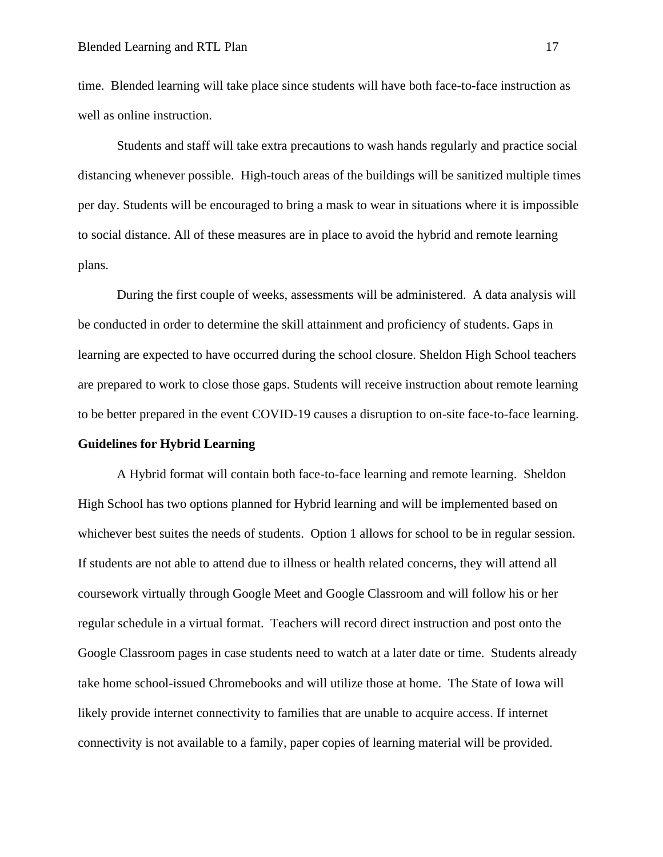time. Blended learning will take place since students will have both face-to-face instruction as well as online instruction.

Students and staff will take extra precautions to wash hands regularly and practice social distancing whenever possible. High-touch areas of the buildings will be sanitized multiple times per day. Students will be encouraged to bring a mask to wear in situations where it is impossible to social distance. All of these measures are in place to avoid the hybrid and remote learning plans.

During the first couple of weeks, assessments will be administered. A data analysis will be conducted in order to determine the skill attainment and proficiency of students. Gaps in learning are expected to have occurred during the school closure. Sheldon High School teachers are prepared to work to close those gaps. Students will receive instruction about remote learning to be better prepared in the event COVID-19 causes a disruption to on-site face-to-face learning.

#### **Guidelines for Hybrid Learning**

A Hybrid format will contain both face-to-face learning and remote learning. Sheldon High School has two options planned for Hybrid learning and will be implemented based on whichever best suites the needs of students. Option 1 allows for school to be in regular session. If students are not able to attend due to illness or health related concerns, they will attend all coursework virtually through Google Meet and Google Classroom and will follow his or her regular schedule in a virtual format. Teachers will record direct instruction and post onto the Google Classroom pages in case students need to watch at a later date or time. Students already take home school-issued Chromebooks and will utilize those at home. The State of Iowa will likely provide internet connectivity to families that are unable to acquire access. If internet connectivity is not available to a family, paper copies of learning material will be provided.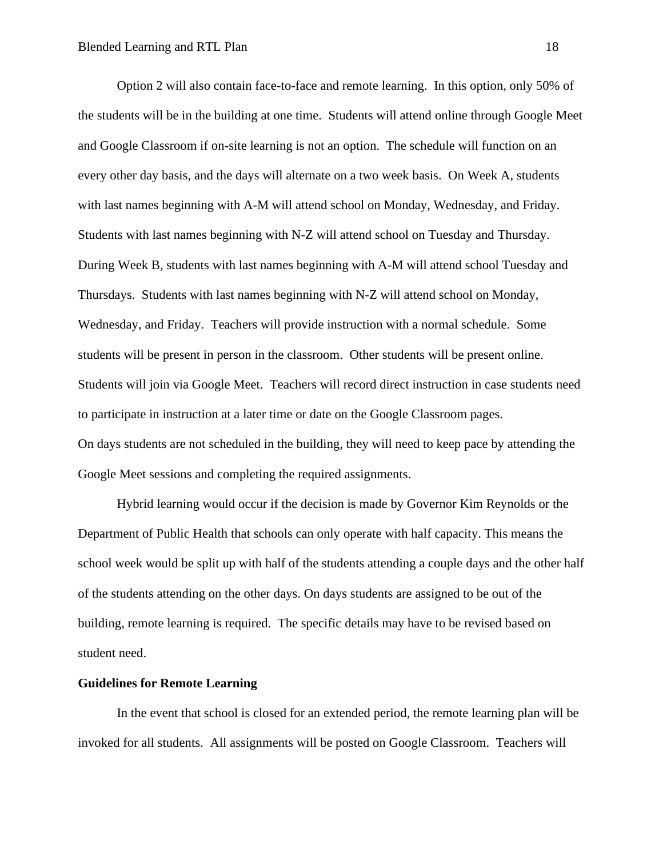Option 2 will also contain face-to-face and remote learning. In this option, only 50% of the students will be in the building at one time. Students will attend online through Google Meet and Google Classroom if on-site learning is not an option. The schedule will function on an every other day basis, and the days will alternate on a two week basis. On Week A, students with last names beginning with A-M will attend school on Monday, Wednesday, and Friday. Students with last names beginning with N-Z will attend school on Tuesday and Thursday. During Week B, students with last names beginning with A-M will attend school Tuesday and Thursdays. Students with last names beginning with N-Z will attend school on Monday, Wednesday, and Friday. Teachers will provide instruction with a normal schedule. Some students will be present in person in the classroom. Other students will be present online. Students will join via Google Meet. Teachers will record direct instruction in case students need to participate in instruction at a later time or date on the Google Classroom pages. On days students are not scheduled in the building, they will need to keep pace by attending the Google Meet sessions and completing the required assignments.

Hybrid learning would occur if the decision is made by Governor Kim Reynolds or the Department of Public Health that schools can only operate with half capacity. This means the school week would be split up with half of the students attending a couple days and the other half of the students attending on the other days. On days students are assigned to be out of the building, remote learning is required. The specific details may have to be revised based on student need.

#### **Guidelines for Remote Learning**

In the event that school is closed for an extended period, the remote learning plan will be invoked for all students. All assignments will be posted on Google Classroom. Teachers will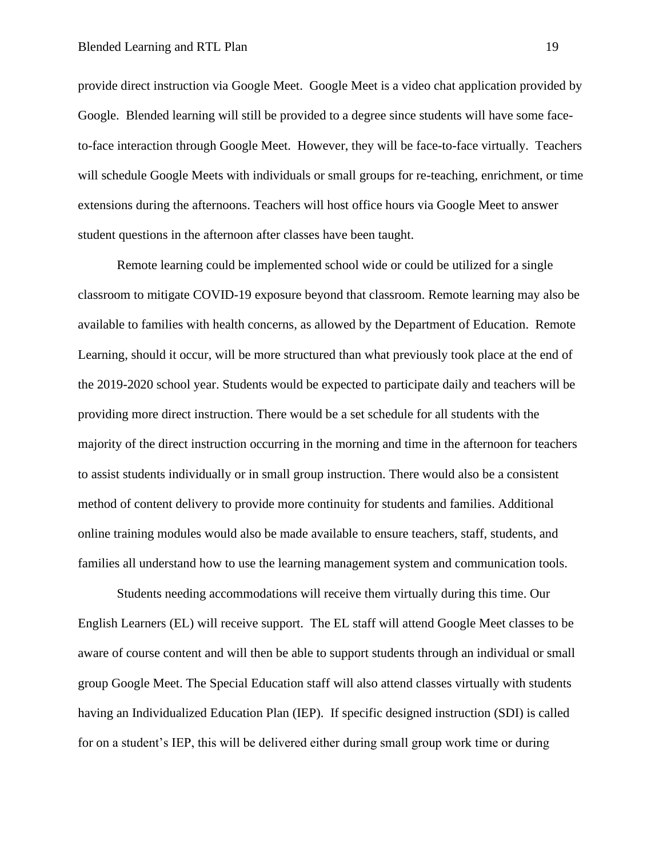provide direct instruction via Google Meet. Google Meet is a video chat application provided by Google. Blended learning will still be provided to a degree since students will have some faceto-face interaction through Google Meet. However, they will be face-to-face virtually. Teachers will schedule Google Meets with individuals or small groups for re-teaching, enrichment, or time extensions during the afternoons. Teachers will host office hours via Google Meet to answer student questions in the afternoon after classes have been taught.

Remote learning could be implemented school wide or could be utilized for a single classroom to mitigate COVID-19 exposure beyond that classroom. Remote learning may also be available to families with health concerns, as allowed by the Department of Education. Remote Learning, should it occur, will be more structured than what previously took place at the end of the 2019-2020 school year. Students would be expected to participate daily and teachers will be providing more direct instruction. There would be a set schedule for all students with the majority of the direct instruction occurring in the morning and time in the afternoon for teachers to assist students individually or in small group instruction. There would also be a consistent method of content delivery to provide more continuity for students and families. Additional online training modules would also be made available to ensure teachers, staff, students, and families all understand how to use the learning management system and communication tools.

Students needing accommodations will receive them virtually during this time. Our English Learners (EL) will receive support. The EL staff will attend Google Meet classes to be aware of course content and will then be able to support students through an individual or small group Google Meet. The Special Education staff will also attend classes virtually with students having an Individualized Education Plan (IEP). If specific designed instruction (SDI) is called for on a student's IEP, this will be delivered either during small group work time or during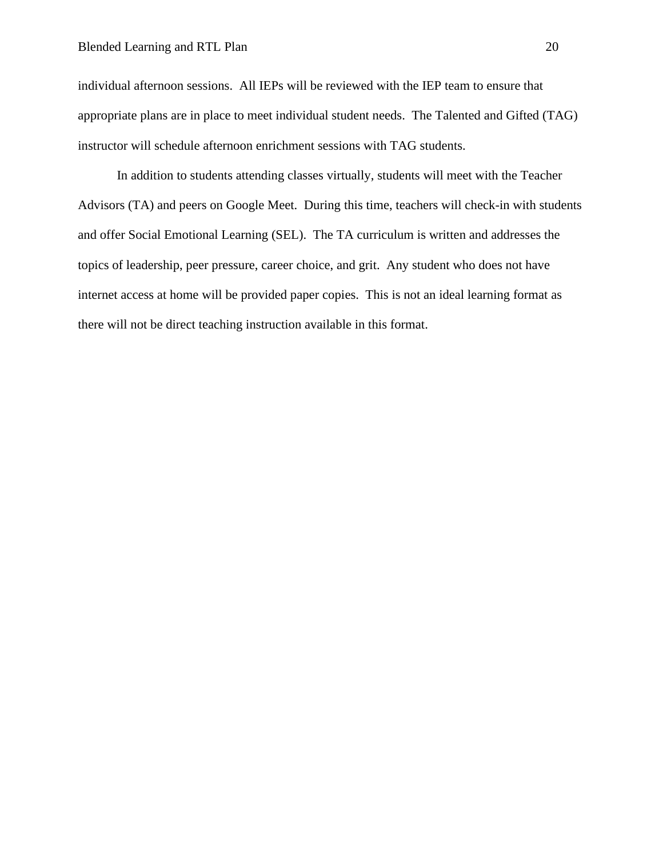individual afternoon sessions. All IEPs will be reviewed with the IEP team to ensure that appropriate plans are in place to meet individual student needs. The Talented and Gifted (TAG) instructor will schedule afternoon enrichment sessions with TAG students.

In addition to students attending classes virtually, students will meet with the Teacher Advisors (TA) and peers on Google Meet. During this time, teachers will check-in with students and offer Social Emotional Learning (SEL). The TA curriculum is written and addresses the topics of leadership, peer pressure, career choice, and grit. Any student who does not have internet access at home will be provided paper copies. This is not an ideal learning format as there will not be direct teaching instruction available in this format.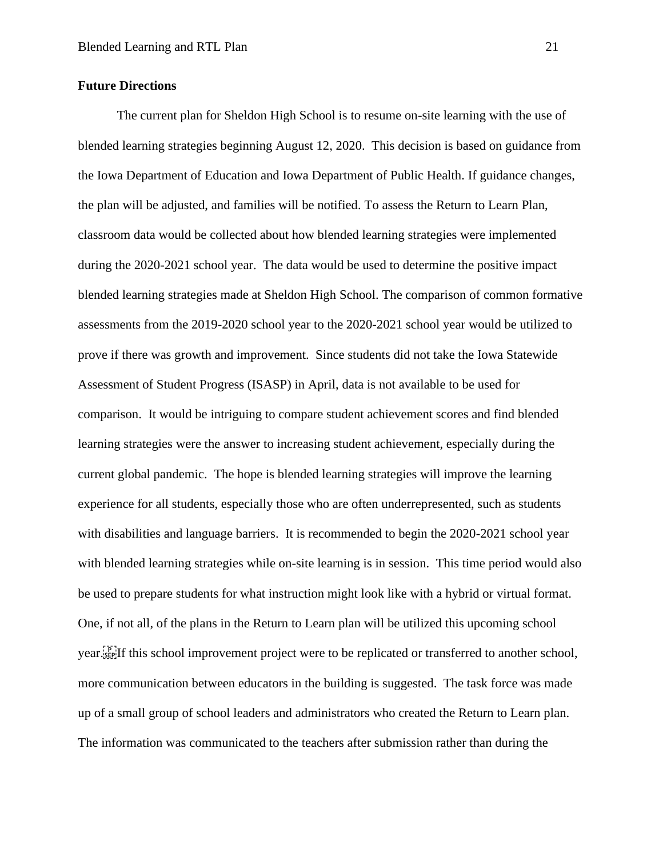#### **Future Directions**

The current plan for Sheldon High School is to resume on-site learning with the use of blended learning strategies beginning August 12, 2020. This decision is based on guidance from the Iowa Department of Education and Iowa Department of Public Health. If guidance changes, the plan will be adjusted, and families will be notified. To assess the Return to Learn Plan, classroom data would be collected about how blended learning strategies were implemented during the 2020-2021 school year. The data would be used to determine the positive impact blended learning strategies made at Sheldon High School. The comparison of common formative assessments from the 2019-2020 school year to the 2020-2021 school year would be utilized to prove if there was growth and improvement. Since students did not take the Iowa Statewide Assessment of Student Progress (ISASP) in April, data is not available to be used for comparison. It would be intriguing to compare student achievement scores and find blended learning strategies were the answer to increasing student achievement, especially during the current global pandemic. The hope is blended learning strategies will improve the learning experience for all students, especially those who are often underrepresented, such as students with disabilities and language barriers. It is recommended to begin the 2020-2021 school year with blended learning strategies while on-site learning is in session. This time period would also be used to prepare students for what instruction might look like with a hybrid or virtual format. One, if not all, of the plans in the Return to Learn plan will be utilized this upcoming school year.
If this school improvement project were to be replicated or transferred to another school, more communication between educators in the building is suggested. The task force was made up of a small group of school leaders and administrators who created the Return to Learn plan. The information was communicated to the teachers after submission rather than during the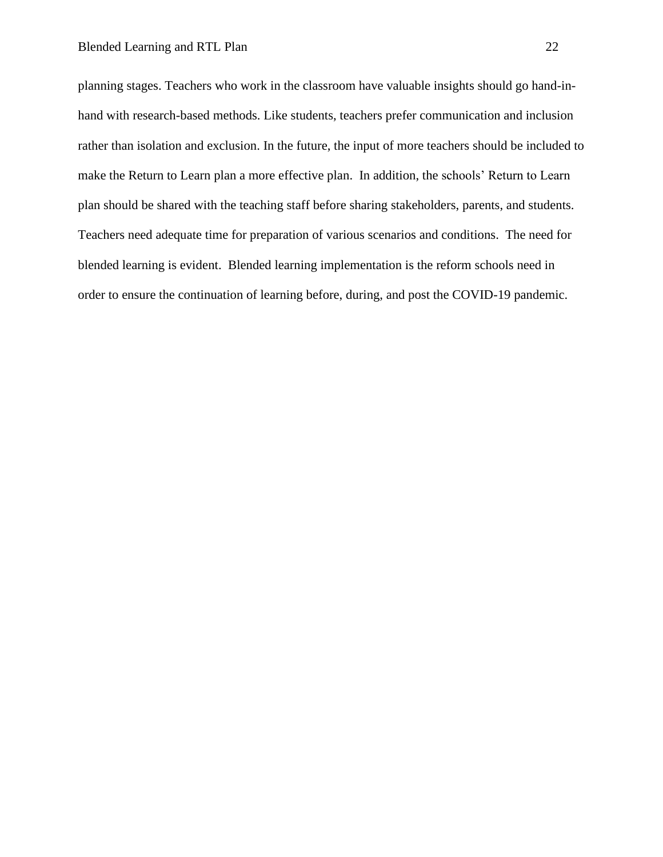planning stages. Teachers who work in the classroom have valuable insights should go hand-inhand with research-based methods. Like students, teachers prefer communication and inclusion rather than isolation and exclusion. In the future, the input of more teachers should be included to make the Return to Learn plan a more effective plan. In addition, the schools' Return to Learn plan should be shared with the teaching staff before sharing stakeholders, parents, and students. Teachers need adequate time for preparation of various scenarios and conditions. The need for blended learning is evident. Blended learning implementation is the reform schools need in order to ensure the continuation of learning before, during, and post the COVID-19 pandemic.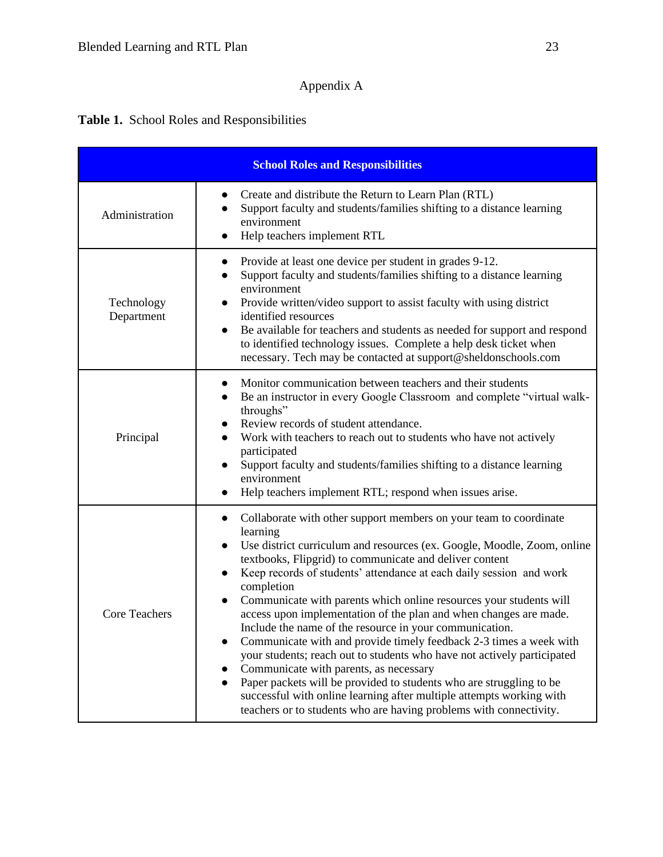# Appendix A

# **Table 1.** School Roles and Responsibilities

| <b>School Roles and Responsibilities</b> |                                                                                                                                                                                                                                                                                                                                                                                                                                                                                                                                                                                                                                                                                                                                                                                                                                                                                                                                                         |  |  |
|------------------------------------------|---------------------------------------------------------------------------------------------------------------------------------------------------------------------------------------------------------------------------------------------------------------------------------------------------------------------------------------------------------------------------------------------------------------------------------------------------------------------------------------------------------------------------------------------------------------------------------------------------------------------------------------------------------------------------------------------------------------------------------------------------------------------------------------------------------------------------------------------------------------------------------------------------------------------------------------------------------|--|--|
| Administration                           | Create and distribute the Return to Learn Plan (RTL)<br>Support faculty and students/families shifting to a distance learning<br>environment<br>Help teachers implement RTL<br>$\bullet$                                                                                                                                                                                                                                                                                                                                                                                                                                                                                                                                                                                                                                                                                                                                                                |  |  |
| Technology<br>Department                 | Provide at least one device per student in grades 9-12.<br>$\bullet$<br>Support faculty and students/families shifting to a distance learning<br>environment<br>Provide written/video support to assist faculty with using district<br>$\bullet$<br>identified resources<br>Be available for teachers and students as needed for support and respond<br>$\bullet$<br>to identified technology issues. Complete a help desk ticket when<br>necessary. Tech may be contacted at support@sheldonschools.com                                                                                                                                                                                                                                                                                                                                                                                                                                                |  |  |
| Principal                                | Monitor communication between teachers and their students<br>$\bullet$<br>Be an instructor in every Google Classroom and complete "virtual walk-<br>$\bullet$<br>throughs"<br>Review records of student attendance.<br>Work with teachers to reach out to students who have not actively<br>participated<br>Support faculty and students/families shifting to a distance learning<br>environment<br>Help teachers implement RTL; respond when issues arise.<br>$\bullet$                                                                                                                                                                                                                                                                                                                                                                                                                                                                                |  |  |
| <b>Core Teachers</b>                     | Collaborate with other support members on your team to coordinate<br>$\bullet$<br>learning<br>Use district curriculum and resources (ex. Google, Moodle, Zoom, online<br>$\bullet$<br>textbooks, Flipgrid) to communicate and deliver content<br>Keep records of students' attendance at each daily session and work<br>completion<br>Communicate with parents which online resources your students will<br>access upon implementation of the plan and when changes are made.<br>Include the name of the resource in your communication<br>Communicate with and provide timely feedback 2-3 times a week with<br>your students; reach out to students who have not actively participated<br>Communicate with parents, as necessary<br>Paper packets will be provided to students who are struggling to be<br>successful with online learning after multiple attempts working with<br>teachers or to students who are having problems with connectivity. |  |  |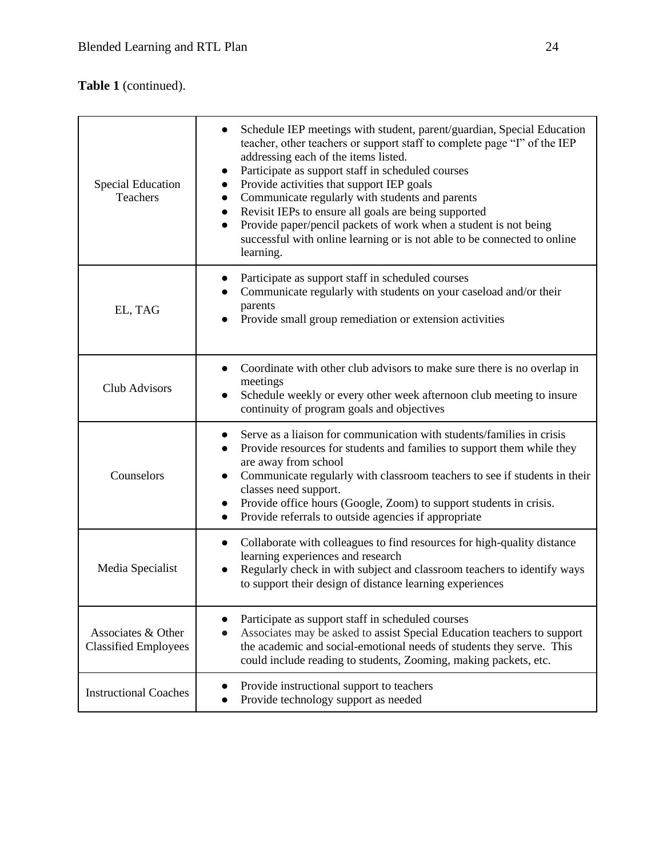# **Table 1** (continued).

| <b>Special Education</b><br>Teachers              | Schedule IEP meetings with student, parent/guardian, Special Education<br>teacher, other teachers or support staff to complete page "I" of the IEP<br>addressing each of the items listed.<br>Participate as support staff in scheduled courses<br>Provide activities that support IEP goals<br>Communicate regularly with students and parents<br>$\bullet$<br>Revisit IEPs to ensure all goals are being supported<br>$\bullet$<br>Provide paper/pencil packets of work when a student is not being<br>$\bullet$<br>successful with online learning or is not able to be connected to online<br>learning. |
|---------------------------------------------------|-------------------------------------------------------------------------------------------------------------------------------------------------------------------------------------------------------------------------------------------------------------------------------------------------------------------------------------------------------------------------------------------------------------------------------------------------------------------------------------------------------------------------------------------------------------------------------------------------------------|
| EL, TAG                                           | Participate as support staff in scheduled courses<br>$\bullet$<br>Communicate regularly with students on your caseload and/or their<br>parents<br>Provide small group remediation or extension activities                                                                                                                                                                                                                                                                                                                                                                                                   |
| Club Advisors                                     | Coordinate with other club advisors to make sure there is no overlap in<br>$\bullet$<br>meetings<br>Schedule weekly or every other week afternoon club meeting to insure<br>continuity of program goals and objectives                                                                                                                                                                                                                                                                                                                                                                                      |
| Counselors                                        | Serve as a liaison for communication with students/families in crisis<br>Provide resources for students and families to support them while they<br>are away from school<br>Communicate regularly with classroom teachers to see if students in their<br>classes need support.<br>Provide office hours (Google, Zoom) to support students in crisis.<br>Provide referrals to outside agencies if appropriate<br>$\bullet$                                                                                                                                                                                    |
| Media Specialist                                  | Collaborate with colleagues to find resources for high-quality distance<br>$\bullet$<br>learning experiences and research<br>Regularly check in with subject and classroom teachers to identify ways<br>to support their design of distance learning experiences                                                                                                                                                                                                                                                                                                                                            |
| Associates & Other<br><b>Classified Employees</b> | Participate as support staff in scheduled courses<br>Associates may be asked to assist Special Education teachers to support<br>the academic and social-emotional needs of students they serve. This<br>could include reading to students, Zooming, making packets, etc.                                                                                                                                                                                                                                                                                                                                    |
| <b>Instructional Coaches</b>                      | Provide instructional support to teachers<br>$\bullet$<br>Provide technology support as needed                                                                                                                                                                                                                                                                                                                                                                                                                                                                                                              |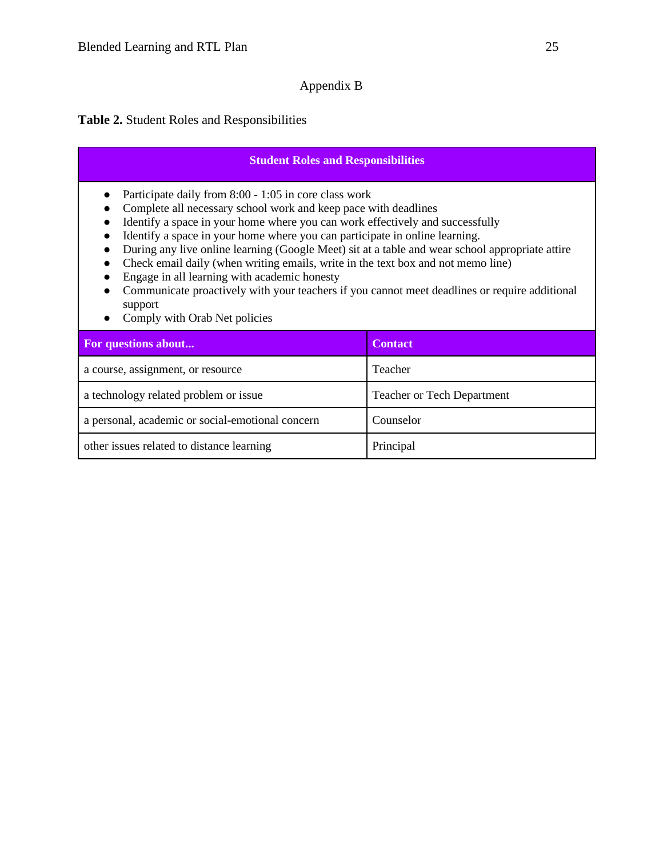## Appendix B

## **Table 2.** Student Roles and Responsibilities

### **Student Roles and Responsibilities**

- Participate daily from 8:00 1:05 in core class work
- Complete all necessary school work and keep pace with deadlines
- Identify a space in your home where you can work effectively and successfully
- Identify a space in your home where you can participate in online learning.
- During any live online learning (Google Meet) sit at a table and wear school appropriate attire
- Check email daily (when writing emails, write in the text box and not memo line)
- Engage in all learning with academic honesty
- Communicate proactively with your teachers if you cannot meet deadlines or require additional support
- Comply with Orab Net policies

| For questions about                              | <b>Contact</b>                    |
|--------------------------------------------------|-----------------------------------|
| a course, assignment, or resource                | <b>Teacher</b>                    |
| a technology related problem or issue            | <b>Teacher or Tech Department</b> |
| a personal, academic or social-emotional concern | Counselor                         |
| other issues related to distance learning        | Principal                         |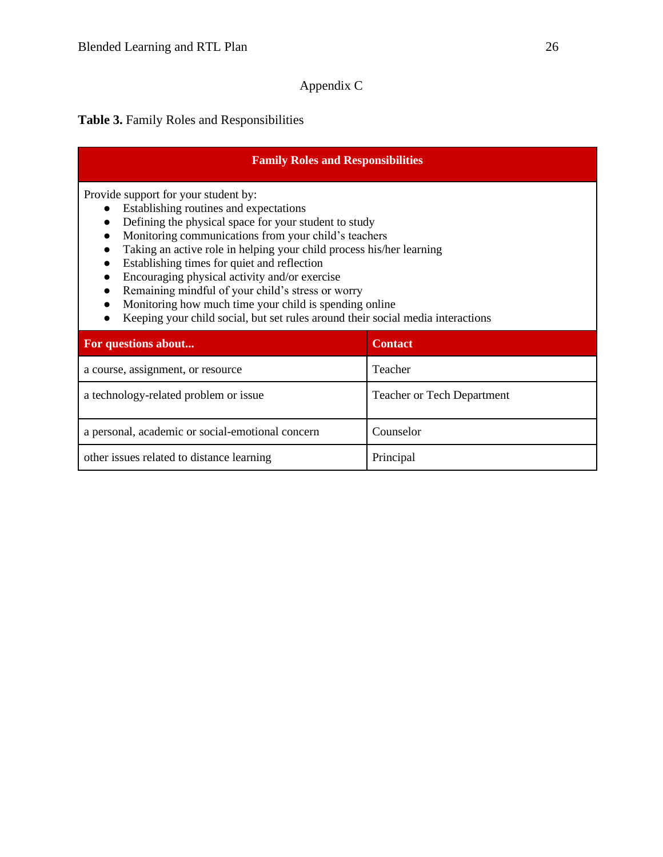# Appendix C

# **Table 3.** Family Roles and Responsibilities

| <b>Family Roles and Responsibilities</b>                                                                                                                                                                                                                                                                                                                                                                                                                                                                                                                                  |                                   |  |  |  |
|---------------------------------------------------------------------------------------------------------------------------------------------------------------------------------------------------------------------------------------------------------------------------------------------------------------------------------------------------------------------------------------------------------------------------------------------------------------------------------------------------------------------------------------------------------------------------|-----------------------------------|--|--|--|
| Provide support for your student by:<br>Establishing routines and expectations<br>Defining the physical space for your student to study<br>Monitoring communications from your child's teachers<br>Taking an active role in helping your child process his/her learning<br>Establishing times for quiet and reflection<br>Encouraging physical activity and/or exercise<br>Remaining mindful of your child's stress or worry<br>Monitoring how much time your child is spending online<br>Keeping your child social, but set rules around their social media interactions |                                   |  |  |  |
| For questions about                                                                                                                                                                                                                                                                                                                                                                                                                                                                                                                                                       | <b>Contact</b>                    |  |  |  |
| a course, assignment, or resource                                                                                                                                                                                                                                                                                                                                                                                                                                                                                                                                         | Teacher                           |  |  |  |
| a technology-related problem or issue                                                                                                                                                                                                                                                                                                                                                                                                                                                                                                                                     | <b>Teacher or Tech Department</b> |  |  |  |
| a personal, academic or social-emotional concern                                                                                                                                                                                                                                                                                                                                                                                                                                                                                                                          | Counselor                         |  |  |  |
| other issues related to distance learning                                                                                                                                                                                                                                                                                                                                                                                                                                                                                                                                 | Principal                         |  |  |  |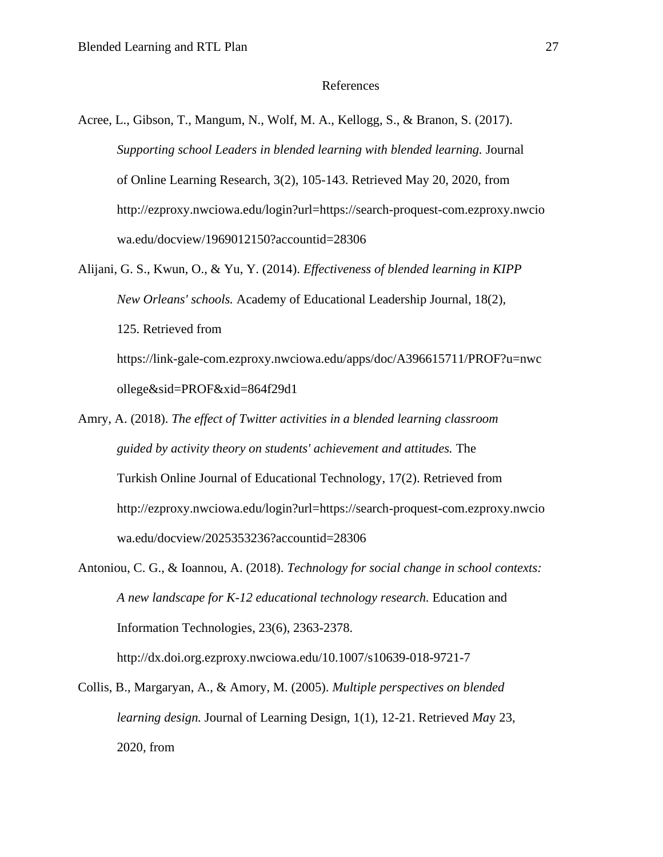#### References

- Acree, L., Gibson, T., Mangum, N., Wolf, M. A., Kellogg, S., & Branon, S. (2017). *Supporting school Leaders in blended learning with blended learning.* Journal of Online Learning Research, 3(2), 105-143. Retrieved May 20, 2020, from http://ezproxy.nwciowa.edu/login?url=https://search-proquest-com.ezproxy.nwcio wa.edu/docview/1969012150?accountid=28306
- Alijani, G. S., Kwun, O., & Yu, Y. (2014). *Effectiveness of blended learning in KIPP New Orleans' schools.* Academy of Educational Leadership Journal, 18(2), 125. Retrieved from https://link-gale-com.ezproxy.nwciowa.edu/apps/doc/A396615711/PROF?u=nwc ollege&sid=PROF&xid=864f29d1
- Amry, A. (2018). *The effect of Twitter activities in a blended learning classroom guided by activity theory on students' achievement and attitudes.* The Turkish Online Journal of Educational Technology, 17(2). Retrieved from http://ezproxy.nwciowa.edu/login?url=https://search-proquest-com.ezproxy.nwcio wa.edu/docview/2025353236?accountid=28306
- Antoniou, C. G., & Ioannou, A. (2018). *Technology for social change in school contexts: A new landscape for K-12 educational technology research.* Education and Information Technologies, 23(6), 2363-2378. http://dx.doi.org.ezproxy.nwciowa.edu/10.1007/s10639-018-9721-7
- Collis, B., Margaryan, A., & Amory, M. (2005). *Multiple perspectives on blended learning design.* Journal of Learning Design, 1(1), 12-21. Retrieved *Ma*y 23, 2020, from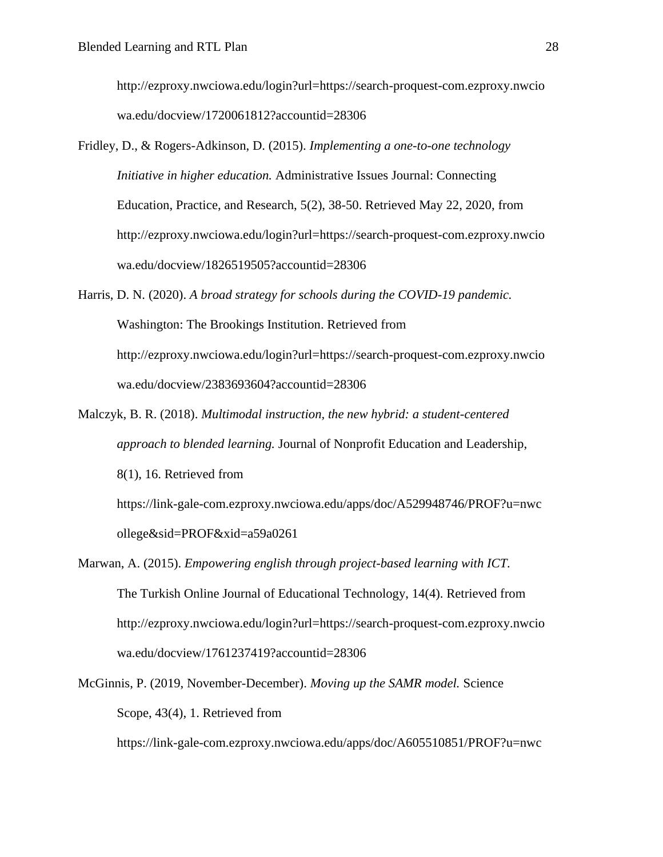http://ezproxy.nwciowa.edu/login?url=https://search-proquest-com.ezproxy.nwcio wa.edu/docview/1720061812?accountid=28306

- Fridley, D., & Rogers-Adkinson, D. (2015). *Implementing a one-to-one technology Initiative in higher education.* Administrative Issues Journal: Connecting Education, Practice, and Research, 5(2), 38-50. Retrieved May 22, 2020, from http://ezproxy.nwciowa.edu/login?url=https://search-proquest-com.ezproxy.nwcio wa.edu/docview/1826519505?accountid=28306
- Harris, D. N. (2020). *A broad strategy for schools during the COVID-19 pandemic.*  Washington: The Brookings Institution. Retrieved from http://ezproxy.nwciowa.edu/login?url=https://search-proquest-com.ezproxy.nwcio wa.edu/docview/2383693604?accountid=28306
- Malczyk, B. R. (2018). *Multimodal instruction, the new hybrid: a student-centered approach to blended learning.* Journal of Nonprofit Education and Leadership, 8(1), 16. Retrieved from https://link-gale-com.ezproxy.nwciowa.edu/apps/doc/A529948746/PROF?u=nwc ollege&sid=PROF&xid=a59a0261
- Marwan, A. (2015). *Empowering english through project-based learning with ICT.*  The Turkish Online Journal of Educational Technology, 14(4). Retrieved from http://ezproxy.nwciowa.edu/login?url=https://search-proquest-com.ezproxy.nwcio wa.edu/docview/1761237419?accountid=28306
- McGinnis, P. (2019, November-December). *Moving up the SAMR model.* Science Scope, 43(4), 1. Retrieved from

https://link-gale-com.ezproxy.nwciowa.edu/apps/doc/A605510851/PROF?u=nwc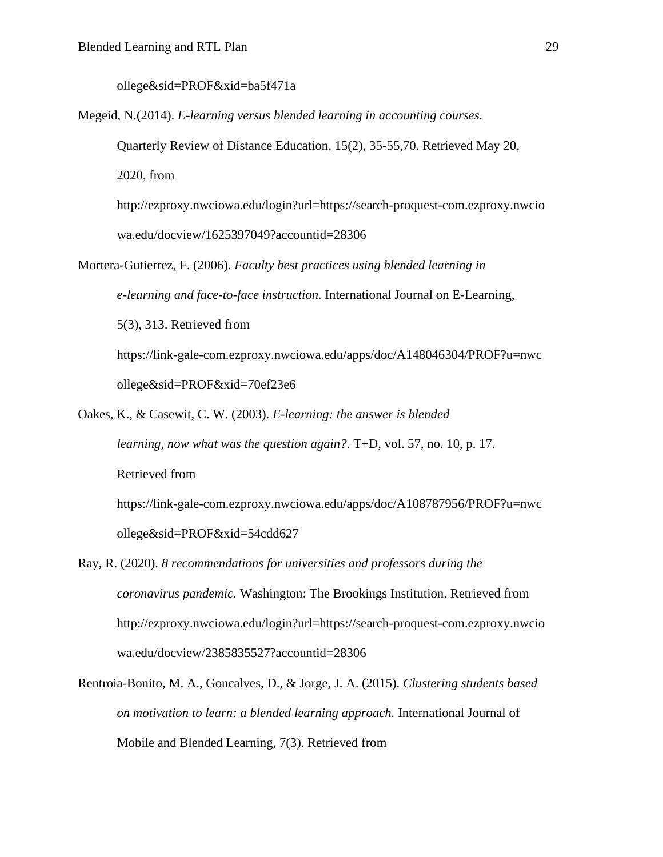ollege&sid=PROF&xid=ba5f471a

ollege&sid=PROF&xid=54cdd627

Megeid, N.(2014). *E-learning versus blended learning in accounting courses.* 

Quarterly Review of Distance Education, 15(2), 35-55,70. Retrieved May 20,

2020, from

http://ezproxy.nwciowa.edu/login?url=https://search-proquest-com.ezproxy.nwcio wa.edu/docview/1625397049?accountid=28306

Mortera-Gutierrez, F. (2006). *Faculty best practices using blended learning in e-learning and face-to-face instruction.* International Journal on E-Learning, 5(3), 313. Retrieved from https://link-gale-com.ezproxy.nwciowa.edu/apps/doc/A148046304/PROF?u=nwc ollege&sid=PROF&xid=70ef23e6

- Oakes, K., & Casewit, C. W. (2003). *E-learning: the answer is blended learning, now what was the question again?*. T+D, vol. 57, no. 10, p. 17. Retrieved from https://link-gale-com.ezproxy.nwciowa.edu/apps/doc/A108787956/PROF?u=nwc
- Ray, R. (2020). *8 recommendations for universities and professors during the coronavirus pandemic.* Washington: The Brookings Institution. Retrieved from http://ezproxy.nwciowa.edu/login?url=https://search-proquest-com.ezproxy.nwcio wa.edu/docview/2385835527?accountid=28306
- Rentroia-Bonito, M. A., Goncalves, D., & Jorge, J. A. (2015). *Clustering students based on motivation to learn: a blended learning approach.* International Journal of Mobile and Blended Learning, 7(3). Retrieved from